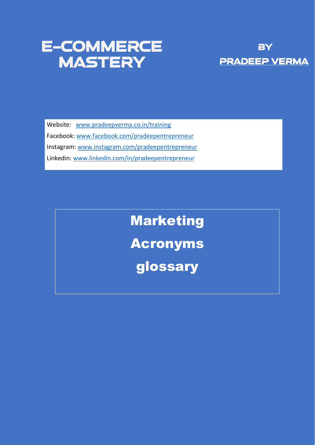# E-commerce MASTERY PRADEEP VERMA



Website: [www.pradeepverma.co.in/](http://www.pradeepverma.co.in/)training

Facebook: [www.facebook.com/pradeepentrepreneur](http://www.facebook.com/pradeepentrepreneur)

Instagram: [www.instagram.com/pradeepentrepreneur](http://www.instagram.com/pradeepentrepreneur)

Linkedin: [www.linkedin.com/in/pradeepentrepreneur](http://www.linkedin.com/in/pradeepentrepreneur)

# Marketing

Acronyms

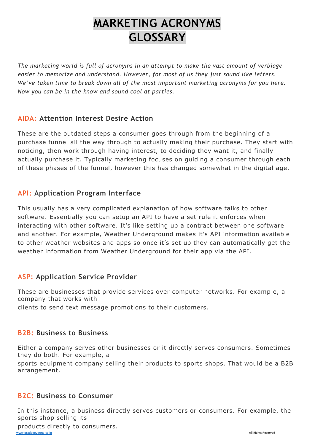# **MARKETING ACRONYMS GLOSSARY**

*The marketing world is full of acronyms in an attempt to make the vast amount of verbiage easier to memorize and understand. However, for most of us they just sound like letters. We've taken time to break down all of the most important marketing acronyms for you here. Now you can be in the know and sound cool at parties.*

#### **AIDA: Attention Interest Desire Action**

These are the outdated steps a consumer goes through from the beginning of a purchase funnel all the way through to actually making their purchase. They start with noticing, then work through having interest, to deciding they want it, and finally actually purchase it. Typically marketing focuses on guiding a consumer through each of these phases of the funnel, however this has changed somewhat in the digital age.

#### **API: Application Program Interface**

This usually has a very complicated explanation of how software talks to other software. Essentially you can setup an API to have a set rule it enforces when interacting with other software. It's like setting up a contract between one software and another. For example, Weather Underground makes it's API information available to other weather websites and apps so once it's set up they can automatically get the weather information from Weather Underground for their app via the API.

#### **ASP: Application Service Provider**

These are businesses that provide services over computer networks. For example, a company that works with clients to send text message promotions to their customers.

#### **B2B: Business to Business**

Either a company serves other businesses or it directly serves consumers. Sometimes they do both. For example, a

sports equipment company selling their products to sports shops. That would be a B2B arrangement.

#### **B2C: Business to Consumer**

In this instance, a business directly serves customers or consumers. For example, the sports shop selling its

products directly to consumers.

[www.pradeepverma.co.in](http://www.pradeepverma.co.in/) All Rights Reserved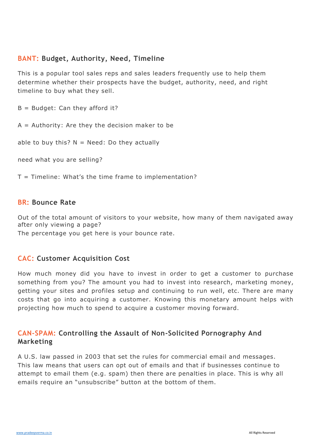## **BANT: Budget, Authority, Need, Timeline**

This is a popular tool sales reps and sales leaders frequently use to help them determine whether their prospects have the budget, authority, need, and right timeline to buy what they sell.

 $B =$  Budget: Can they afford it?

 $A =$  Authority: Are they the decision maker to be

able to buy this?  $N = N$ eed: Do they actually

need what you are selling?

 $T =$  Timeline: What's the time frame to implementation?

#### **BR: Bounce Rate**

Out of the total amount of visitors to your website, how many of them navigated away after only viewing a page?

The percentage you get here is your bounce rate.

#### **CAC: Customer Acquisition Cost**

How much money did you have to invest in order to get a customer to purchase something from you? The amount you had to invest into research, marketing money, getting your sites and profiles setup and continuing to run well, etc. There are many costs that go into acquiring a customer. Knowing this monetary amount helps with projecting how much to spend to acquire a customer moving forward.

# **CAN-SPAM: Controlling the Assault of Non-Solicited Pornography And Marketing**

A U.S. law passed in 2003 that set the rules for commercial email and messages. This law means that users can opt out of emails and that if businesses continue to attempt to email them (e.g. spam) then there are penalties in place. This is why all emails require an "unsubscribe" button at the bottom of them.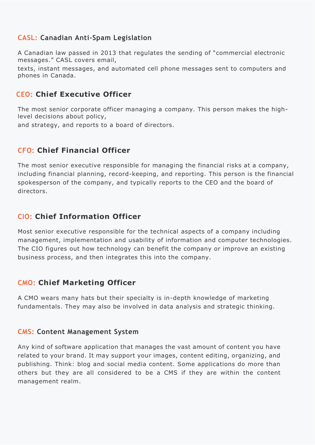# **CASL: Canadian Anti-Spam Legislation**

A Canadian law passed in 2013 that regulates the sending of "commercial electronic messages." CASL covers email,

texts, instant messages, and automated cell phone messages sent to computers and phones in Canada.

# **CEO: Chief Executive Officer**

The most senior corporate officer managing a company. This person makes the highlevel decisions about policy,

and strategy, and reports to a board of directors.

# **CFO: Chief Financial Officer**

The most senior executive responsible for managing the financial risks at a company, including financial planning, record-keeping, and reporting. This person is the financial spokesperson of the company, and typically reports to the CEO and the board of directors.

# **CIO: Chief Information Officer**

Most senior executive responsible for the technical aspects of a company including management, implementation and usability of information and computer technologies. The CIO figures out how technology can benefit the company or improve an existing

# **CMO: Chief Marketing Officer**

A CMO wears many hats but their specialty is in-depth knowledge of marketing fundamentals. They may also be involved in data analysis and strategic thinking.

#### **CMS: Content Management System**

Any kind of software application that manages the vast amount of content you have related to your brand. It may support your images, content editing, organizing, and publishing. Think: blog and social media content. Some applications do more than others but they are all considered to be a CMS if they are within the content management realm.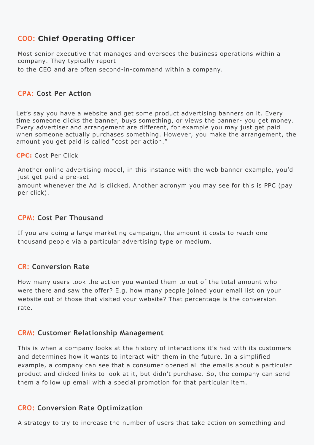# **COO: Chief Operating Officer**

Most senior executive that manages and oversees the business operations within a company. They typically report

to the CEO and are often second-in-command within a company.

#### **CPA: Cost Per Action**

Let's say you have a website and get some product advertising banners on it. Every time someone clicks the banner, buys something, or views the banner- you get money. Every advertiser and arrangement are different, for example you may just get paid when someone actually purchases something. However, you make the arrangement, the amount you get paid is called "cost per action."

**CPC:** Cost Per Click

Another online advertising model, in this instance with the web banner example, you'd just get paid a pre-set

amount whenever the Ad is clicked. Another acronym you may see for this is PPC (pay per click).

#### **CPM: Cost Per Thousand**

If you are doing a large marketing campaign, the amount it costs to reach one thousand people via a particular advertising type or medium.

## **CR: Conversion Rate**

How many users took the action you wanted them to out of the total amount who were there and saw the offer? E.g. how many people joined your email list on your website out of those that visited your website? That percentage is the conversion rate.

#### **CRM: Customer Relationship Management**

This is when a company looks at the history of interactions it's had with its customers and determines how it wants to interact with them in the future. In a simplified example, a company can see that a consumer opened all the emails about a particular product and clicked links to look at it, but didn't purchase. So, the company can send them a follow up email with a special promotion for that particular item.

#### **CRO: Conversion Rate Optimization**

A strategy to try to increase the number of users that take action on something and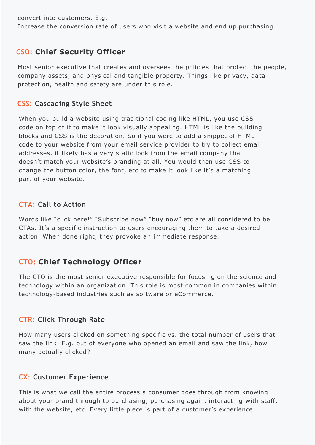# **CSS: Cascading Style Sheet**

When you build a website using traditional coding like HTML, you use CSS code on top of it to make it look visually appealing. HTML is like the building blocks and CSS is the decoration. So if you were to add a snippet of HTML code to your website from your email service provider to try to collect email addresses, it likely has a very static look from the email company that doesn't match your website's branding at all. You would then use CSS to change the button color, the font, etc to make it look like it's a matching part of your website.

# **CTA: Call to Action**

Words like "click here!" "Subscribe now" "buy now" etc are all considered to be CTAs. It's a specific instruction to users encouraging them to take a desired action. When done right, they provoke an immediate response.

# **CTO: Chief Technology Officer**

The CTO is the most senior executive responsible for focusing on the science and technology within an organization. This role is most common in companies within technology-based industries such as software or eCommerce.

#### **CTR: Click Through Rate**

How many users clicked on something specific vs. the total number of users that saw the link. E.g. out of everyone who opened an email and saw the link, how many actually clicked?

#### **CX: Customer Experience**

This is what we call the entire process a consumer goes through from knowing about your brand through to purchasing, purchasing again, interacting with staff, with the website, etc. Every little piece is part of a customer's experience.

convert into customers. E.g.

Increase the conversion rate of users who visit a website and end up purchasing.

# **CSO: Chief Security Officer**

Most senior executive that creates and oversees the policies that protect the people, company assets, and physical and tangible property. Things like privacy, data protection, health and safety are under this role.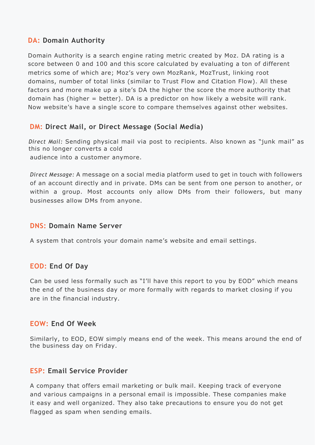#### **DM: Direct Mail, or Direct Message (Social Media)**

*Direct Mail:* Sending physical mail via post to recipients. Also known as "junk mail" as this no longer converts a cold audience into a customer anymore.

*Direct Message:* A message on a social media platform used to get in touch with followers of an account directly and in private. DMs can be sent from one person to another, or within a group. Most accounts only allow DMs from their followers, but many businesses allow DMs from anyone.

#### **DNS: Domain Name Server**

A system that controls your domain name's website and email settings.

## **EOD: End Of Day**

Can be used less formally such as "I'll have this report to you by EOD" which means the end of the business day or more formally with regards to market closing if you are in the financial industry.

#### **EOW: End Of Week**

Similarly, to EOD, EOW simply means end of the week. This means around the end of the business day on Friday.

#### **ESP: Email Service Provider**

A company that offers email marketing or bulk mail. Keeping track of everyone and various campaigns in a personal email is impossible. These companies make it easy and well organized. They also take precautions to ensure you do not get flagged as spam when sending emails.

# **DA: Domain Authority**

Domain Authority is a search engine rating metric created by Moz. DA rating is a score between 0 and 100 and this score calculated by evaluating a ton of different metrics some of which are; Moz's very own MozRank, MozTrust, linking root domains, number of total links (similar to Trust Flow and Citation Flow). All these factors and more make up a site's DA the higher the score the more authority that domain has (higher = better). DA is a predictor on how likely a website will rank. Now website's have a single score to compare themselves against other websites.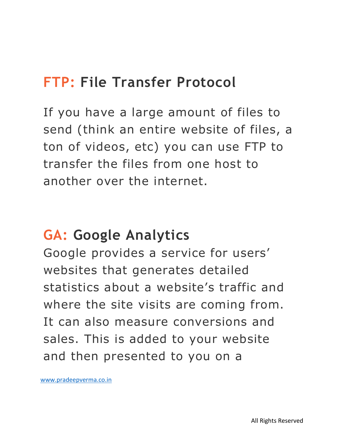### **FTP: File Transfer Protocol**

If you have a large amount of files to send (think an entire website of files, a ton of videos, etc) you can use FTP to transfer the files from one host to another over the internet.

#### **GA: Google Analytics**

Google provides a service for users' websites that generates detailed statistics about a website's traffic and where the site visits are coming from. It can also measure conversions and sales. This is added to your website and then presented to you on a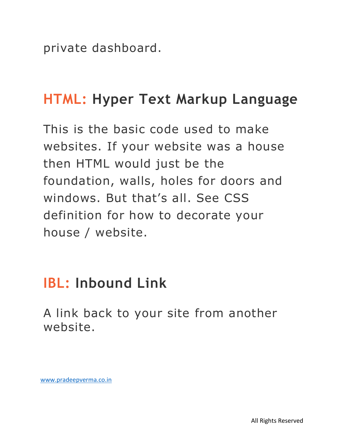private dashboard.

#### **HTML: Hyper Text Markup Language**

This is the basic code used to make websites. If your website was a house then HTML would just be the foundation, walls, holes for doors and windows. But that's all. See CSS definition for how to decorate your house / website.

#### **IBL: Inbound Link**

A link back to your site from another website.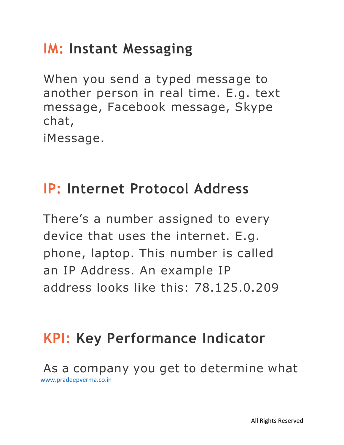# **IM: Instant Messaging**

When you send a typed message to another person in real time. E.g. text message, Facebook message, Skype chat, iMessage.

# **IP: Internet Protocol Address**

There's a number assigned to every device that uses the internet. E.g. phone, laptop. This number is called an IP Address. An example IP address looks like this: 78.125.0.209

# **KPI: Key Performance Indicator**

[www.pradeepverma.co.in](http://www.pradeepverma.co.in/)  As a company you get to determine what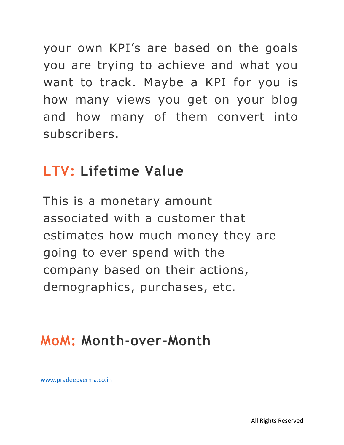your own KPI's are based on the goals you are trying to achieve and what you want to track. Maybe a KPI for you is how many views you get on your blog and how many of them convert into subscribers.

#### **LTV: Lifetime Value**

This is a monetary amount associated with a customer that estimates how much money they are going to ever spend with the company based on their actions, demographics, purchases, etc.

#### **MoM: Month-over-Month**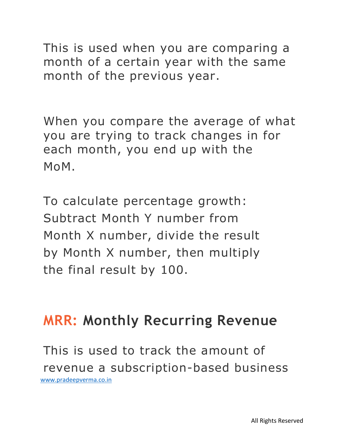This is used when you are comparing a month of a certain year with the same month of the previous year.

When you compare the average of what you are trying to track changes in for each month, you end up with the MoM.

To calculate percentage growth: Subtract Month Y number from Month X number, divide the result by Month X number, then multiply the final result by 100.

## **MRR: Monthly Recurring Revenue**

[www.pradeepverma.co.in](http://www.pradeepverma.co.in/)  This is used to track the amount of revenue a subscription-based business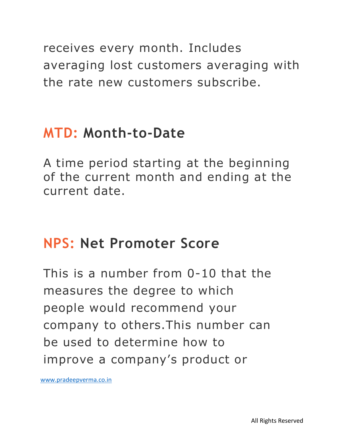receives every month. Includes averaging lost customers averaging with the rate new customers subscribe.

## **MTD: Month-to-Date**

A time period starting at the beginning of the current month and ending at the current date.

#### **NPS: Net Promoter Score**

This is a number from 0-10 that the measures the degree to which people would recommend your company to others.This number can be used to determine how to improve a company's product or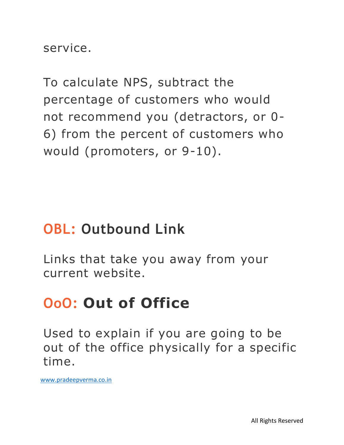service.

To calculate NPS, subtract the percentage of customers who would not recommend you (detractors, or 0- 6) from the percent of customers who would (promoters, or 9-10).

#### **OBL: Outbound Link**

Links that take you away from your current website.

# **OoO: Out of Office**

Used to explain if you are going to be out of the office physically for a specific time.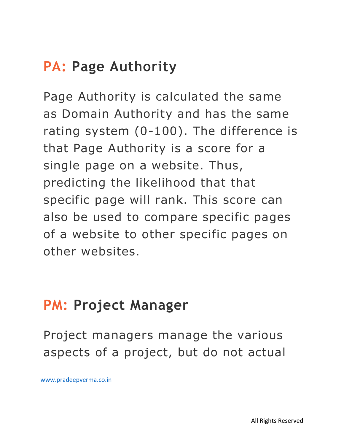# **PA: Page Authority**

Page Authority is calculated the same as Domain Authority and has the same rating system (0-100). The difference is that Page Authority is a score for a single page on a website. Thus, predicting the likelihood that that specific page will rank. This score can also be used to compare specific pages of a website to other specific pages on other websites.

#### **PM: Project Manager**

Project managers manage the various aspects of a project, but do not actual

[www.pradeepverma.co.in](http://www.pradeepverma.co.in/)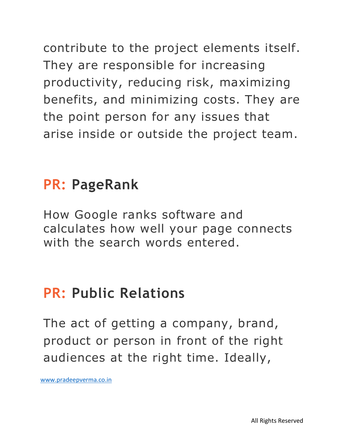contribute to the project elements itself. They are responsible for increasing productivity, reducing risk, maximizing benefits, and minimizing costs. They are the point person for any issues that arise inside or outside the project team.

## **PR: PageRank**

How Google ranks software and calculates how well your page connects with the search words entered.

# **PR: Public Relations**

The act of getting a company, brand, product or person in front of the right audiences at the right time. Ideally,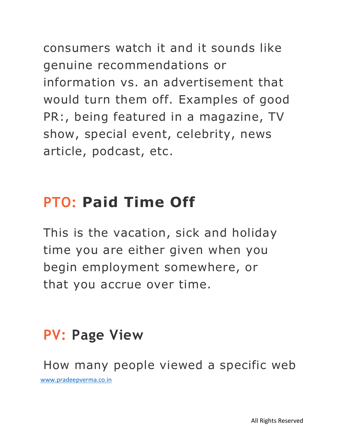consumers watch it and it sounds like genuine recommendations or information vs. an advertisement that would turn them off. Examples of good PR:, being featured in a magazine, TV show, special event, celebrity, news article, podcast, etc.

# **PTO: Paid Time Off**

This is the vacation, sick and holiday time you are either given when you begin employment somewhere, or that you accrue over time.

# **PV: Page View**

[www.pradeepverma.co.in](http://www.pradeepverma.co.in/)  How many people viewed a specific web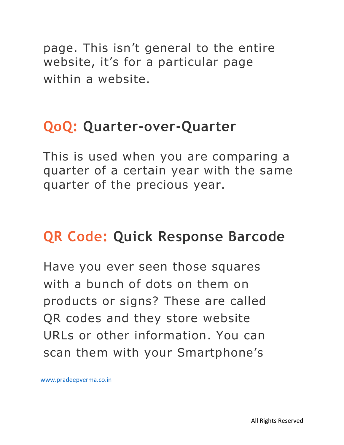page. This isn't general to the entire website, it's for a particular page within a website.

#### **QoQ: Quarter-over-Quarter**

This is used when you are comparing a quarter of a certain year with the same quarter of the precious year.

# **QR Code: Quick Response Barcode**

Have you ever seen those squares with a bunch of dots on them on products or signs? These are called QR codes and they store website URLs or other information. You can scan them with your Smartphone's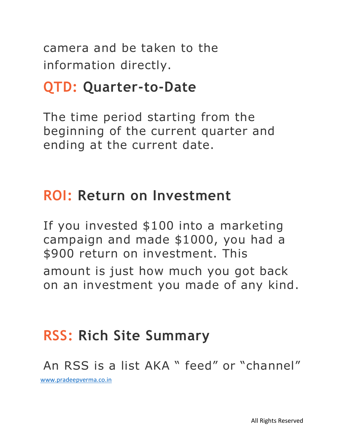camera and be taken to the information directly.

#### **QTD: Quarter-to-Date**

The time period starting from the beginning of the current quarter and ending at the current date.

#### **ROI: Return on Investment**

If you invested \$100 into a marketing campaign and made \$1000, you had a \$900 return on investment. This amount is just how much you got back on an investment you made of any kind.

# **RSS: Rich Site Summary**

[www.pradeepverma.co.in](http://www.pradeepverma.co.in/)  An RSS is a list AKA " feed" or "channel"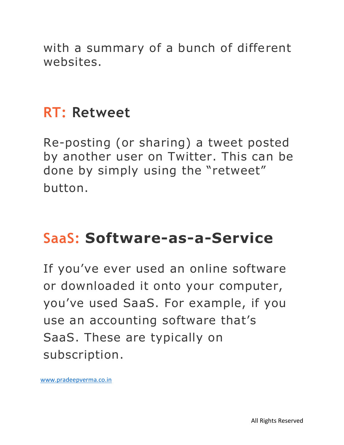with a summary of a bunch of different websites.

#### **RT: Retweet**

Re-posting (or sharing) a tweet posted by another user on Twitter. This can be done by simply using the "retweet" button.

# **SaaS: Software-as-a-Service**

If you've ever used an online software or downloaded it onto your computer, you've used SaaS. For example, if you use an accounting software that's SaaS. These are typically on subscription.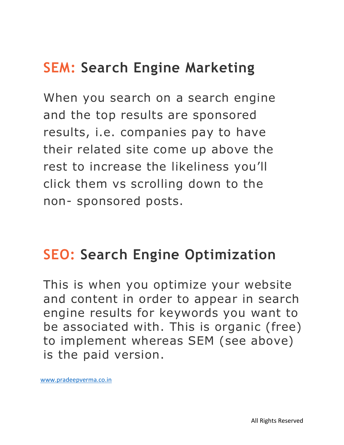# **SEM: Search Engine Marketing**

When you search on a search engine and the top results are sponsored results, i.e. companies pay to have their related site come up above the rest to increase the likeliness you'll click them vs scrolling down to the non- sponsored posts.

# **SEO: Search Engine Optimization**

This is when you optimize your website and content in order to appear in search engine results for keywords you want to be associated with. This is organic (free) to implement whereas SEM (see above) is the paid version.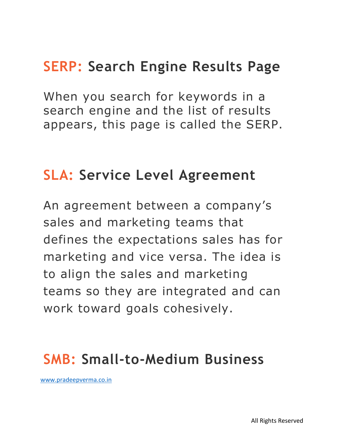# **SERP: Search Engine Results Page**

When you search for keywords in a search engine and the list of results appears, this page is called the SERP.

#### **SLA: Service Level Agreement**

An agreement between a company's sales and marketing teams that defines the expectations sales has for marketing and vice versa. The idea is to align the sales and marketing teams so they are integrated and can work toward goals cohesively.

#### **SMB: Small-to-Medium Business**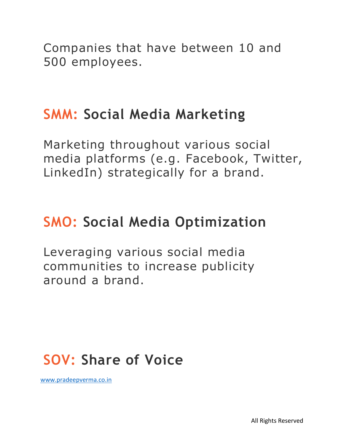Companies that have between 10 and 500 employees.

#### **SMM: Social Media Marketing**

Marketing throughout various social media platforms (e.g. Facebook, Twitter, LinkedIn) strategically for a brand.

# **SMO: Social Media Optimization**

Leveraging various social media communities to increase publicity around a brand.

# **SOV: Share of Voice**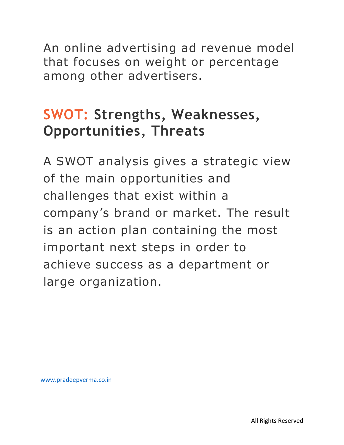An online advertising ad revenue model that focuses on weight or percentage among other advertisers.

# **SWOT: Strengths, Weaknesses, Opportunities, Threats**

A SWOT analysis gives a strategic view of the main opportunities and challenges that exist within a company's brand or market. The result is an action plan containing the most important next steps in order to achieve success as a department or large organization.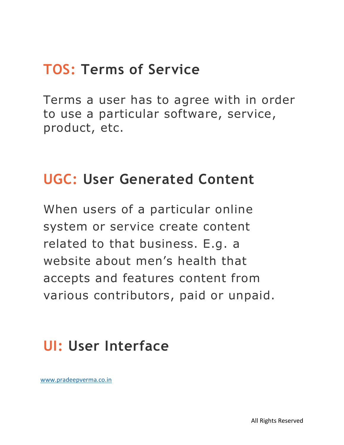# **TOS: Terms of Service**

Terms a user has to agree with in order to use a particular software, service, product, etc.

#### **UGC: User Generated Content**

When users of a particular online system or service create content related to that business. E.g. a website about men's health that accepts and features content from various contributors, paid or unpaid.

# **UI: User Interface**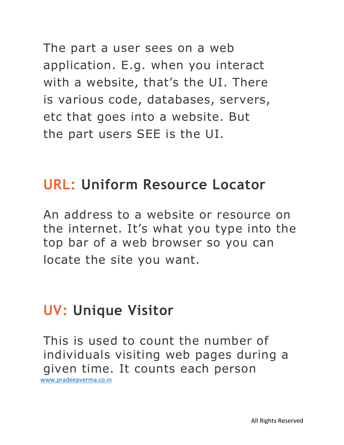The part a user sees on a web application. E.g. when you interact with a website, that's the UI. There is various code, databases, servers, etc that goes into a website. But the part users SEE is the UI.

#### **URL: Uniform Resource Locator**

An address to a website or resource on the internet. It's what you type into the top bar of a web browser so you can locate the site you want.

#### **UV: Unique Visitor**

[www.pradeepverma.co.in](http://www.pradeepverma.co.in/)  This is used to count the number of individuals visiting web pages during a given time. It counts each person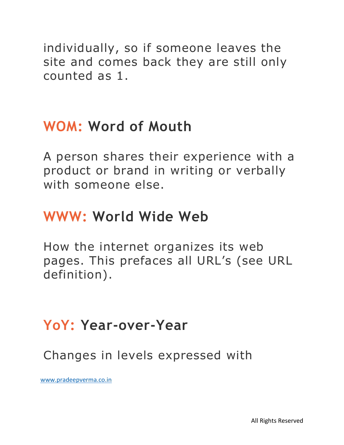individually, so if someone leaves the site and comes back they are still only counted as 1.

## **WOM: Word of Mouth**

A person shares their experience with a product or brand in writing or verbally with someone else.

## **WWW: World Wide Web**

How the internet organizes its web pages. This prefaces all URL's (see URL definition).

# **YoY: Year-over-Year**

Changes in levels expressed with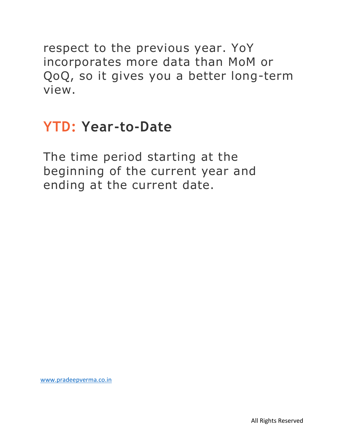respect to the previous year. YoY incorporates more data than MoM or QoQ, so it gives you a better long-term view.

## **YTD: Year-to-Date**

The time period starting at the beginning of the current year and ending at the current date.